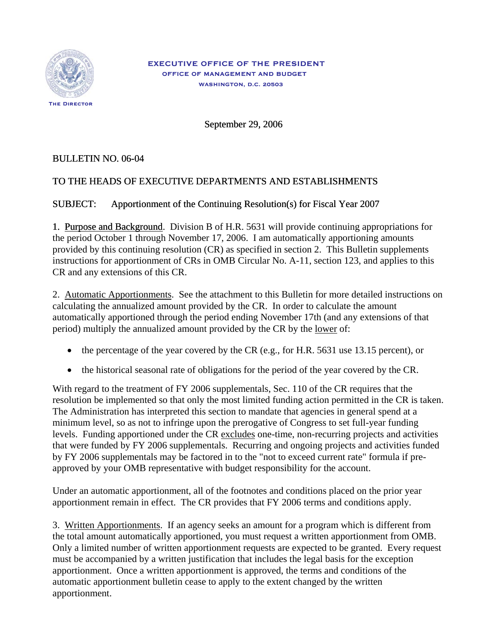

September 29, 2006

## BULLETIN NO. 06-04

## TO THE HEADS OF EXECUTIVE DEPARTMENTS AND ESTABLISHMENTS

## SUBJECT: Apportionment of the Continuing Resolution(s) for Fiscal Year 2007

1. Purpose and Background. Division B of H.R. 5631 will provide continuing appropriations for the period October 1 through November 17, 2006. I am automatically apportioning amounts provided by this continuing resolution (CR) as specified in section 2. This Bulletin supplements instructions for apportionment of CRs in OMB Circular No. A-11, section 123, and applies to this CR and any extensions of this CR.

2. Automatic Apportionments. See the attachment to this Bulletin for more detailed instructions on calculating the annualized amount provided by the CR. In order to calculate the amount automatically apportioned through the period ending November 17th (and any extensions of that period) multiply the annualized amount provided by the CR by the lower of:

- the percentage of the year covered by the CR (e.g., for H.R. 5631 use 13.15 percent), or
- the historical seasonal rate of obligations for the period of the year covered by the CR.

With regard to the treatment of FY 2006 supplementals, Sec. 110 of the CR requires that the resolution be implemented so that only the most limited funding action permitted in the CR is taken. The Administration has interpreted this section to mandate that agencies in general spend at a minimum level, so as not to infringe upon the prerogative of Congress to set full-year funding levels. Funding apportioned under the CR excludes one-time, non-recurring projects and activities that were funded by FY 2006 supplementals. Recurring and ongoing projects and activities funded by FY 2006 supplementals may be factored in to the "not to exceed current rate" formula if preapproved by your OMB representative with budget responsibility for the account.

Under an automatic apportionment, all of the footnotes and conditions placed on the prior year apportionment remain in effect. The CR provides that FY 2006 terms and conditions apply.

3. Written Apportionments. If an agency seeks an amount for a program which is different from the total amount automatically apportioned, you must request a written apportionment from OMB. Only a limited number of written apportionment requests are expected to be granted. Every request must be accompanied by a written justification that includes the legal basis for the exception apportionment. Once a written apportionment is approved, the terms and conditions of the automatic apportionment bulletin cease to apply to the extent changed by the written apportionment.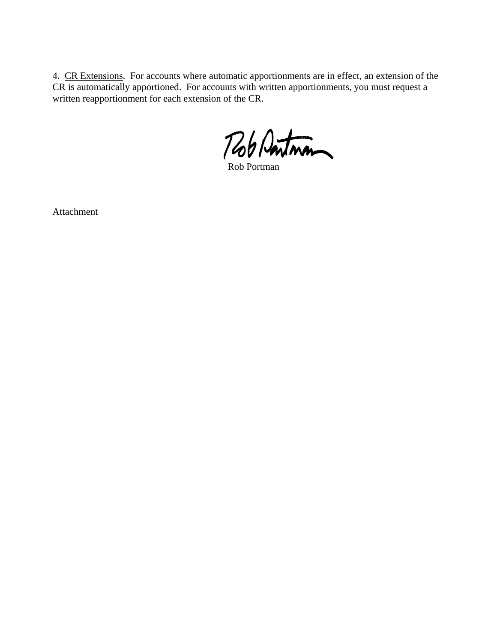4. CR Extensions. For accounts where automatic apportionments are in effect, an extension of the CR is automatically apportioned. For accounts with written apportionments, you must request a written reapportionment for each extension of the CR.

Rob Pontman

Attachment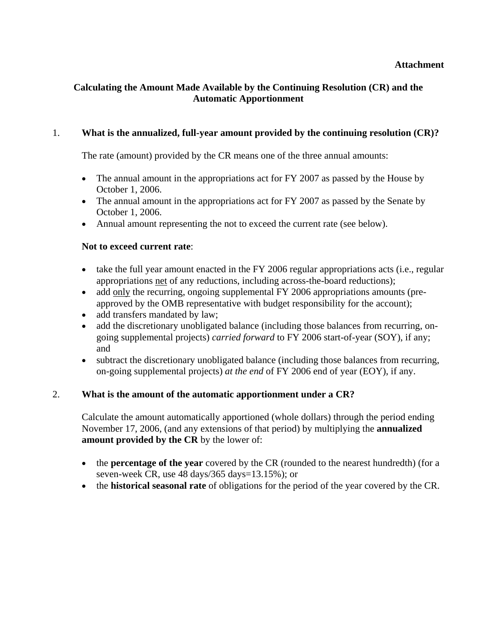## **Calculating the Amount Made Available by the Continuing Resolution (CR) and the Automatic Apportionment**

### 1. **What is the annualized, full-year amount provided by the continuing resolution (CR)?**

The rate (amount) provided by the CR means one of the three annual amounts:

- The annual amount in the appropriations act for FY 2007 as passed by the House by October 1, 2006.
- The annual amount in the appropriations act for FY 2007 as passed by the Senate by October 1, 2006.
- Annual amount representing the not to exceed the current rate (see below).

#### **Not to exceed current rate**:

- take the full year amount enacted in the FY 2006 regular appropriations acts (i.e., regular appropriations net of any reductions, including across-the-board reductions);
- add only the recurring, ongoing supplemental FY 2006 appropriations amounts (preapproved by the OMB representative with budget responsibility for the account);
- add transfers mandated by law;
- add the discretionary unobligated balance (including those balances from recurring, ongoing supplemental projects) *carried forward* to FY 2006 start-of-year (SOY), if any; and
- subtract the discretionary unobligated balance (including those balances from recurring, on-going supplemental projects) *at the end* of FY 2006 end of year (EOY), if any.

#### 2. **What is the amount of the automatic apportionment under a CR?**

Calculate the amount automatically apportioned (whole dollars) through the period ending November 17, 2006, (and any extensions of that period) by multiplying the **annualized amount provided by the CR** by the lower of:

- the **percentage of the year** covered by the CR (rounded to the nearest hundredth) (for a seven-week CR, use 48 days/365 days=13.15%); or
- the **historical seasonal rate** of obligations for the period of the year covered by the CR.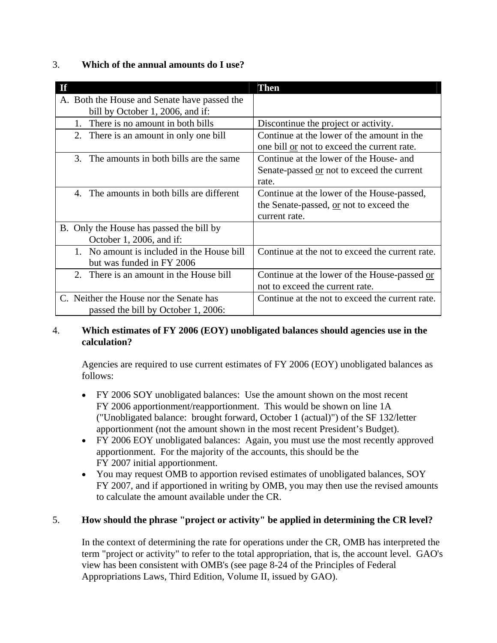## 3. **Which of the annual amounts do I use?**

| <b>If</b>                                                                        | <b>Then</b>                                                                                            |
|----------------------------------------------------------------------------------|--------------------------------------------------------------------------------------------------------|
| A. Both the House and Senate have passed the<br>bill by October 1, 2006, and if: |                                                                                                        |
| There is no amount in both bills<br>1.                                           | Discontinue the project or activity.                                                                   |
| 2. There is an amount in only one bill                                           | Continue at the lower of the amount in the<br>one bill or not to exceed the current rate.              |
| 3. The amounts in both bills are the same                                        | Continue at the lower of the House- and<br>Senate-passed or not to exceed the current<br>rate.         |
| The amounts in both bills are different<br>$\mathbf{4}$                          | Continue at the lower of the House-passed,<br>the Senate-passed, or not to exceed the<br>current rate. |
| B. Only the House has passed the bill by<br>October 1, 2006, and if:             |                                                                                                        |
| 1. No amount is included in the House bill<br>but was funded in FY 2006          | Continue at the not to exceed the current rate.                                                        |
| 2. There is an amount in the House bill                                          | Continue at the lower of the House-passed or<br>not to exceed the current rate.                        |
| C. Neither the House nor the Senate has<br>passed the bill by October 1, 2006:   | Continue at the not to exceed the current rate.                                                        |

## 4. **Which estimates of FY 2006 (EOY) unobligated balances should agencies use in the calculation?**

 Agencies are required to use current estimates of FY 2006 (EOY) unobligated balances as follows:

- FY 2006 SOY unobligated balances: Use the amount shown on the most recent FY 2006 apportionment/reapportionment. This would be shown on line 1A ("Unobligated balance: brought forward, October 1 (actual)") of the SF 132/letter apportionment (not the amount shown in the most recent President's Budget).
- FY 2006 EOY unobligated balances: Again, you must use the most recently approved apportionment. For the majority of the accounts, this should be the FY 2007 initial apportionment.
- You may request OMB to apportion revised estimates of unobligated balances, SOY FY 2007, and if apportioned in writing by OMB, you may then use the revised amounts to calculate the amount available under the CR.

# 5. **How should the phrase "project or activity" be applied in determining the CR level?**

In the context of determining the rate for operations under the CR, OMB has interpreted the term "project or activity" to refer to the total appropriation, that is, the account level. GAO's view has been consistent with OMB's (see page 8-24 of the Principles of Federal Appropriations Laws, Third Edition, Volume II, issued by GAO).